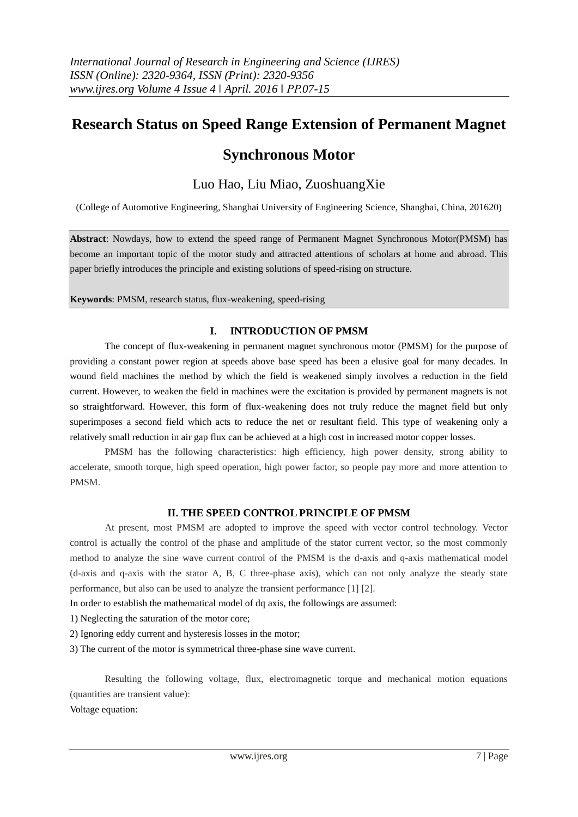# **Research Status on Speed Range Extension of Permanent Magnet**

## **Synchronous Motor**

## Luo Hao, Liu Miao, ZuoshuangXie

(College of Automotive Engineering, Shanghai University of Engineering Science, Shanghai, China, 201620)

**Abstract**: Nowdays, how to extend the speed range of Permanent Magnet Synchronous Motor(PMSM) has become an important topic of the motor study and attracted attentions of scholars at home and abroad. This paper briefly introduces the principle and existing solutions of speed-rising on structure.

**Keywords**: PMSM, research status, flux-weakening, speed-rising

## **I. INTRODUCTION OF PMSM**

The concept of flux-weakening in permanent magnet synchronous motor (PMSM) for the purpose of providing a constant power region at speeds above base speed has been a elusive goal for many decades. In wound field machines the method by which the field is weakened simply involves a reduction in the field current. However, to weaken the field in machines were the excitation is provided by permanent magnets is not so straightforward. However, this form of flux-weakening does not truly reduce the magnet field but only superimposes a second field which acts to reduce the net or resultant field. This type of weakening only a relatively small reduction in air gap flux can be achieved at a high cost in increased motor copper losses.

PMSM has the following characteristics: high efficiency, high power density, strong ability to accelerate, smooth torque, high speed operation, high power factor, so people pay more and more attention to PMSM.

### **II. THE SPEED CONTROL PRINCIPLE OF PMSM**

At present, most PMSM are adopted to improve the speed with vector control technology. Vector control is actually the control of the phase and amplitude of the stator current vector, so the most commonly method to analyze the sine wave current control of the PMSM is the d-axis and q-axis mathematical model (d-axis and q-axis with the stator A, B, C three-phase axis), which can not only analyze the steady state performance, but also can be used to analyze the transient performance [1] [2].

In order to establish the mathematical model of dq axis, the followings are assumed:

1) Neglecting the saturation of the motor core;

2) Ignoring eddy current and hysteresis losses in the motor;

3) The current of the motor is symmetrical three-phase sine wave current.

Resulting the following voltage, flux, electromagnetic torque and mechanical motion equations (quantities are transient value):

[Voltage equation:](http://dict.cnki.net/javascript:showjdsw()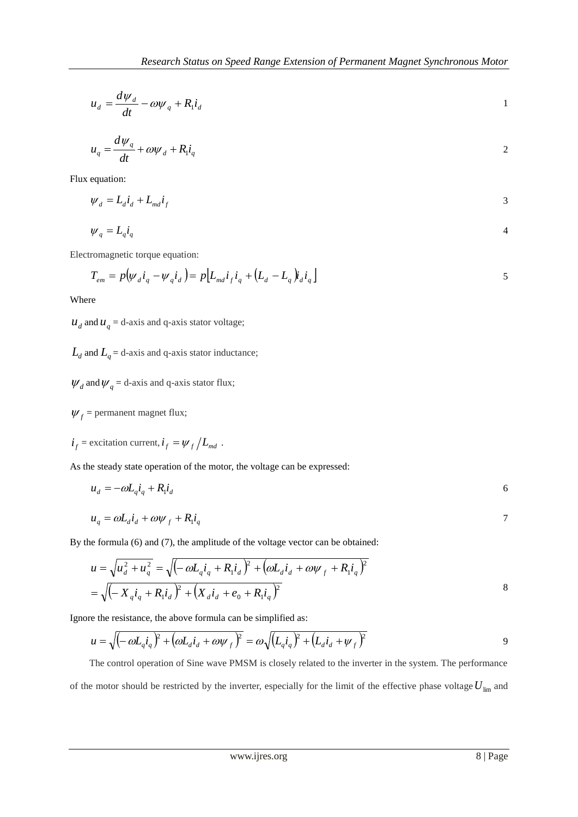$$
u_d = \frac{d\psi_d}{dt} - \omega\psi_q + R_1 i_d
$$

$$
u_q = \frac{d\psi_q}{dt} + \omega \psi_d + R_1 i_q
$$

Flux equation:

$$
\psi_d = L_d \dot{i}_d + L_{md} \dot{i}_f
$$

$$
\psi_q = L_q i_q \tag{4}
$$

Electromagnetic torque equation:

$$
T_{em} = p(\psi_d i_q - \psi_q i_d) = p[L_{md} i_f i_q + (L_d - L_q)i_d i_q]
$$

Where

 $u_d$  and  $u_q$  = d-axis and q-axis stator voltage;

 $L_d$  and  $L_q$  = d-axis and q-axis stator [inductance;](http://dict.cnki.net/dict_result.aspx?searchword=%e7%94%b5%e6%84%9f&tjType=sentence&style=&t=inductance)

 $\psi_d$  and  $\psi_q$  = d-axis and q-axis stator flux;

 $\psi_f$  = permanent magnet flux;

 $\mathbf{i}_f = \text{excitation current}, \mathbf{i}_f = \mathbf{\psi}_f / L_{md}$ .

As the steady state operation of the motor, the voltage can be expressed:

$$
u_d = -\omega L_q \dot{i}_q + R_l \dot{i}_d \tag{6}
$$

$$
u_q = \omega L_d i_d + \omega \psi_f + R_l i_q
$$

By the formula (6) and (7), the amplitude of the voltage vector can be obtained:

$$
u = \sqrt{u_d^2 + u_q^2} = \sqrt{\left(-\omega L_q i_q + R_l i_d\right)^2 + \left(\omega L_d i_d + \omega \psi_f + R_l i_q\right)^2}
$$
  
=  $\sqrt{\left(-X_q i_q + R_l i_d\right)^2 + \left(X_d i_d + e_0 + R_l i_q\right)^2}$ 

Ignore the resistance, the above formula can be simplified as:

$$
u = \sqrt{\left(-\omega L_q i_q\right)^2 + \left(\omega L_d i_d + \omega \psi_f\right)^2} = \omega \sqrt{\left(L_q i_q\right)^2 + \left(L_d i_d + \psi_f\right)^2}
$$

 The control operation of Sine wave PMSM is closely related to the inverter in the system. The performance of the motor should be restricted by the inverter, especially for the limit of the effective phase voltage  $U_{lim}$  and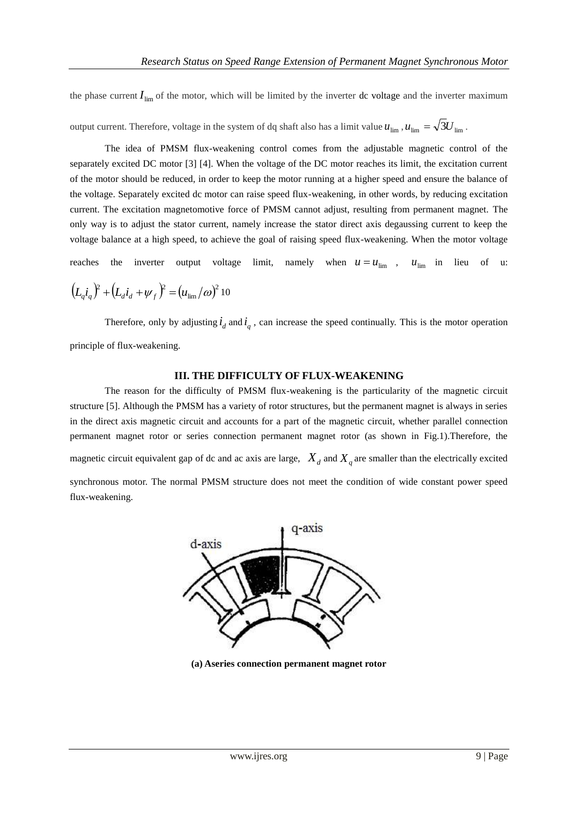the phase current  $I_{\text{lim}}$  of the motor, which will be limited by the inverter dc voltage and the inverter maximum

output current. Therefore, voltage in the system of dq shaft also has a limit value  $u_{\text{lim}}$ ,  $u_{\text{lim}} = \sqrt{3}U_{\text{lim}}$ .

The idea of PMSM flux-weakening control comes from the adjustable magnetic control of the separately excited DC motor [3] [4]. When the voltage of the DC motor reaches its limit, the excitation current of the motor should be reduced, in order to keep the motor running at a higher speed and ensure the balance of the voltage. Separately excited dc motor can raise speed flux-weakening, in other words, by reducing excitation current. The excitation magnetomotive force of PMSM cannot adjust, resulting from permanent magnet. The only way is to adjust the stator current, namely increase the stator direct axis degaussing current to keep the voltage balance at a high speed, to achieve the goal of raising speed flux-weakening. When the motor voltage

reaches the inverter output voltage limit, namely when  $u = u_{\text{lim}}$ ,  $u_{\text{lim}}$  in lieu of u:

$$
\left(L_d i_q\right)^2 + \left(L_d i_d + \psi_f\right)^2 = \left(u_{\text{lim}}/\omega\right)^2 10
$$

Therefore, only by adjusting  $\dot{i}_d$  and  $\dot{i}_q$ , can increase the speed continually. This is the motor operation principle of flux-weakening.

### **III. THE DIFFICULTY OF FLUX-WEAKENING**

The reason for the difficulty of PMSM flux-weakening is the particularity of the magnetic circuit structure [5]. Although the PMSM has a variety of rotor structures, but the permanent magnet is always in series in the direct axis magnetic circuit and accounts for a part of the magnetic circuit, whether parallel connection permanent magnet rotor or series connection permanent magnet rotor (as shown in Fig.1).Therefore, the magnetic circuit equivalent gap of dc and ac axis are large,  $X_d$  and  $X_q$  are smaller than the electrically excited synchronous motor. The normal PMSM structure does not meet the condition of wide constant power speed flux-weakening.



**(a) [Aseries connection](http://dict.cnki.net/javascript:showjdsw() permanent magnet rotor**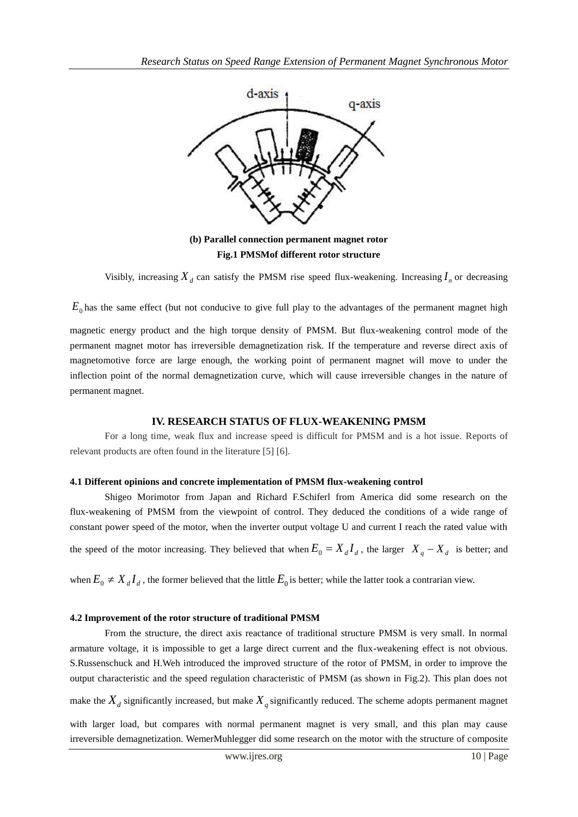

**(b) Parallel connection permanent magnet rotor Fig.1 PMSMof different rotor structure**

Visibly, increasing  $X_d$  can satisfy the PMSM rise speed flux-weakening. Increasing  $I_n$  or decreasing

 $E_0$  has the same effect (but not conducive to give full play to the advantages of the permanent magnet high magnetic energy product and the high torque density of PMSM. But flux-weakening control mode of the permanent magnet motor has irreversible demagnetization risk. If the temperature and reverse direct axis of magnetomotive force are large enough, the working point of permanent magnet will move to under the inflection point of the normal demagnetization curve, which will cause irreversible changes in the nature of permanent magnet.

## **IV. RESEARCH STATUS OF FLUX-WEAKENING PMSM**

For a long time, weak flux and increase speed is difficult for PMSM and is a hot issue. Reports of relevant products are often found in the literature [5] [6].

## **4.1 Different opinions and concrete implementation of PMSM flux-weakening control**

Shigeo Morimotor from Japan and Richard F.Schiferl from America did some research on the flux-weakening of PMSM from the viewpoint of control. They deduced the conditions of a wide range of constant power speed of the motor, when the inverter output voltage U and current I reach the rated value with the speed of the motor increasing. They believed that when  $E_0 = X_d I_d$ , the larger  $X_q - X_d$  is better; and

when  $E_0 \neq X_d I_d$ , the former believed that the little  $E_0$  is better; while the latter took a contrarian view.

## **4.2 Improvement of the rotor structure of traditional PMSM**

From the structure, the direct axis reactance of traditional structure PMSM is very small. In normal armature voltage, it is impossible to get a large direct current and the flux-weakening effect is not obvious. S.Russenschuck and H.Weh introduced the improved structure of the rotor of PMSM, in order to improve the output characteristic and the speed regulation characteristic of PMSM (as shown in Fig.2). This plan does not

make the  $X_d$  significantly increased, but make  $X_q$  significantly reduced. The scheme adopts permanent magnet

with larger load, but compares with normal permanent magnet is very small, and this plan may cause irreversible demagnetization. WemerMuhlegger did some research on the motor with the structure of composite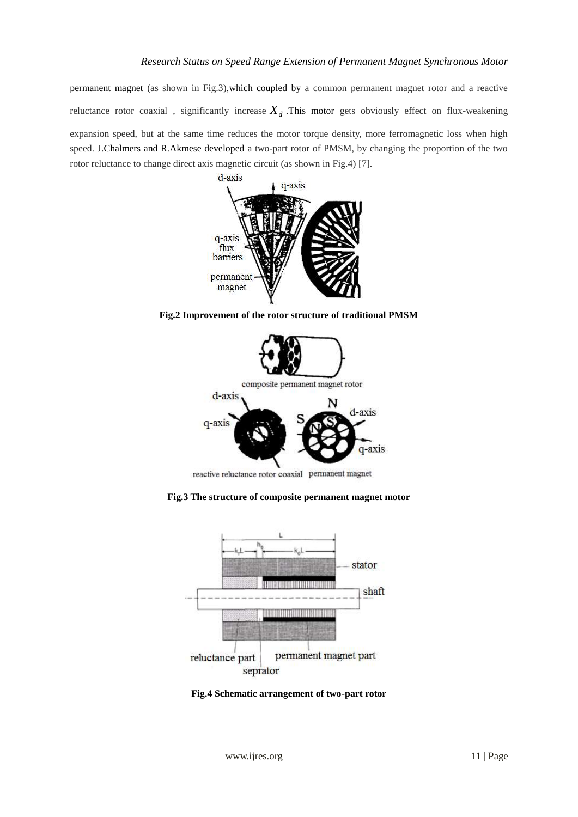permanent magnet (as shown in Fig.3),which coupled by a common permanent magnet rotor and a reactive reluctance rotor coaxial , significantly increase *Xd* .This motor gets obviously effect on flux-weakening expansion speed, but at the same time reduces the motor torque density, more ferromagnetic loss when high speed. J.Chalmers and R.Akmese developed a two-part rotor of PMSM, by changing the proportion of the two rotor reluctance to change direct axis magnetic circuit (as shown in Fig.4) [7].



**Fig.2 Improvement of the rotor structure of traditional PMSM**



reactive reluctance rotor coaxial permanent magnet

**Fig.3 The structure of composite permanent magnet motor**



**Fig.4 Schematic arrangement of two-part rotor**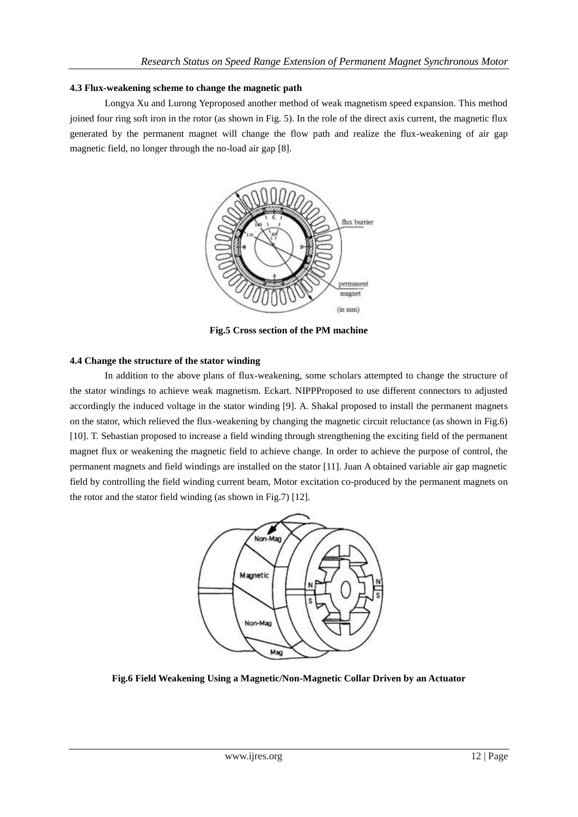#### **4.3 Flux-weakening scheme to change the magnetic path**

Longya Xu and Lurong Yeproposed another method of weak magnetism speed expansion. This method joined four ring soft iron in the rotor (as shown in Fig. 5). In the role of the direct axis current, the magnetic flux generated by the permanent magnet will change the flow path and realize the flux-weakening of air gap magnetic field, no longer through the no-load air gap [8].



**Fig.5 Cross section of the PM machine**

### **4.4 Change the structure of the stator winding**

In addition to the above plans of flux-weakening, some scholars attempted to change the structure of the stator windings to achieve weak magnetism. Eckart. NIPPProposed to use different connectors to adjusted accordingly the induced voltage in the stator winding [9]. A. Shakal proposed to install the permanent magnets on the stator, which relieved the flux-weakening by changing the magnetic circuit reluctance (as shown in Fig.6) [10]. T. Sebastian proposed to increase a field winding through strengthening the exciting field of the permanent magnet flux or weakening the magnetic field to achieve change. In order to achieve the purpose of control, the permanent magnets and field windings are installed on the stator [11]. Juan A obtained variable air gap magnetic field by controlling the field winding current beam, Motor excitation co-produced by the permanent magnets on the rotor and the stator field winding (as shown in Fig.7) [12].



**Fig.6 Field Weakening Using a Magnetic/Non-Magnetic Collar Driven by an Actuator**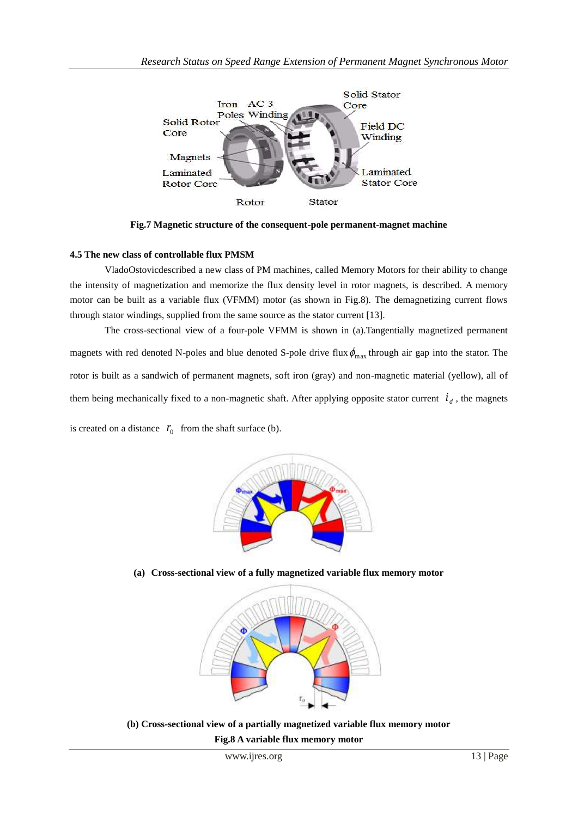

**Fig.7 Magnetic structure of the consequent-pole permanent-magnet machine**

### **4.5 The new class of controllable flux PMSM**

VladoOstovicdescribed a new class of PM machines, called Memory Motors for their ability to change the intensity of magnetization and memorize the flux density level in rotor magnets, is described. A memory motor can be built as a variable flux (VFMM) motor (as shown in Fig.8). The demagnetizing current flows through stator windings, supplied from the same source as the stator current [13].

The cross-sectional view of a four-pole VFMM is shown in (a).Tangentially magnetized permanent magnets with red denoted N-poles and blue denoted S-pole drive flux  $\phi_{\text{max}}$  through air gap into the stator. The rotor is built as a sandwich of permanent magnets, soft iron (gray) and non-magnetic material (yellow), all of them being mechanically fixed to a non-magnetic shaft. After applying opposite stator current  $i_d$ , the magnets

is created on a distance  $r_0$  from the shaft surface (b).



**(a) Cross-sectional view of a fully magnetized variable flux memory motor**



**(b) Cross-sectional view of a partially magnetized variable flux memory motor Fig.8 A variable flux memory motor**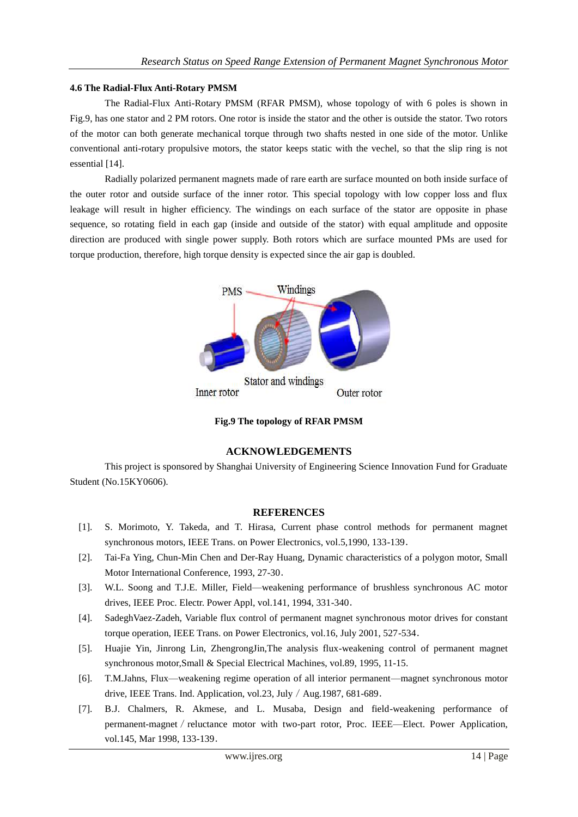### **4.6 The Radial-Flux Anti-Rotary PMSM**

The Radial-Flux Anti-Rotary PMSM (RFAR PMSM), whose topology of with 6 poles is shown in Fig.9, has one stator and 2 PM rotors. One rotor is inside the stator and the other is outside the stator. Two rotors of the motor can both generate mechanical torque through two shafts nested in one side of the motor. Unlike conventional anti-rotary propulsive motors, the stator keeps static with the vechel, so that the slip ring is not essential [14].

Radially polarized permanent magnets made of rare earth are surface mounted on both inside surface of the outer rotor and outside surface of the inner rotor. This special topology with low copper loss and flux leakage will result in higher efficiency. The windings on each surface of the stator are opposite in phase sequence, so rotating field in each gap (inside and outside of the stator) with equal amplitude and opposite direction are produced with single power supply. Both rotors which are surface mounted PMs are used for torque production, therefore, high torque density is expected since the air gap is doubled.



**Fig.9 The topology of RFAR PMSM**

## **ACKNOWLEDGEMENTS**

This project is sponsored by Shanghai University of Engineering Science Innovation Fund for Graduate Student (No.15KY0606).

### **REFERENCES**

- [1]. S. Morimoto, Y. Takeda, and T. Hirasa, Current phase control methods for permanent magnet synchronous motors, IEEE Trans. on Power Electronics, vol.5,1990, 133-139.
- [2]. Tai-Fa Ying, Chun-Min Chen and Der-Ray Huang, Dynamic characteristics of a polygon motor, Small Motor International Conference, 1993, 27-30.
- [3]. W.L. Soong and T.J.E. Miller, Field—weakening performance of brushless synchronous AC motor drives, IEEE Proc. Electr. Power Appl, vol.141, 1994, 331-340.
- [4]. SadeghVaez-Zadeh, Variable flux control of permanent magnet synchronous motor drives for constant torque operation, IEEE Trans. on Power Electronics, vol.16, July 2001, 527-534.
- [5]. Huajie Yin, Jinrong Lin, ZhengrongJin,The analysis flux-weakening control of permanent magnet synchronous motor,Small & Special Electrical Machines, vol.89, 1995, 11-15.
- [6]. T.M.Jahns, Flux—weakening regime operation of all interior permanent—magnet synchronous motor drive, IEEE Trans. Ind. Application, vol.23, July / Aug.1987, 681-689.
- [7]. B.J. Chalmers, R. Akmese, and L. Musaba, Design and field-weakening performance of permanent-magnet / reluctance motor with two-part rotor, Proc. IEEE—Elect. Power Application, vol.145, Mar 1998, 133-139.